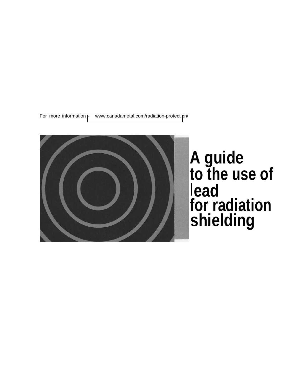For more information - [www.canadametal.com/radiation-protectio](http://www.canadametal.com/radiation-protection/)n/



# **A guide to the use of lead for radiation shielding**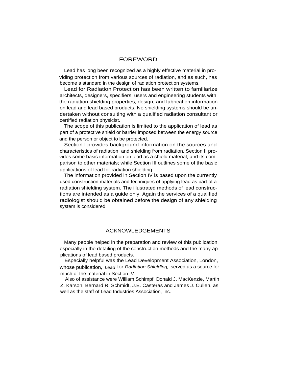### FOREWORD

Lead has long been recognized as a highly effective material in providing protection from various sources of radiation, and as such, has become a standard in the design of radiation protection systems.

Lead for Radiation Protection has been written to familiarize architects, designers, specifiers, users and engineering students with the radiation shielding properties, design, and fabrication information on lead and lead based products. No shielding systems should be undertaken without consulting with a qualified radiation consultant or certified radiation physicist.

The scope of this publication is limited to the application of lead as part of a protective shield or barrier imposed between the energy source and the person or object to be protected.

Section I provides background information on the sources and characteristics of radiation, and shielding from radiation. Section II provides some basic information on lead as a shield material, and its comparison to other materials; while Section III outlines some of the basic applications of lead for radiation shielding.

The information provided in Section IV is based upon the currently used construction materials and techniques of applying lead as part of a radiation shielding system. The illustrated methods of lead constructions are intended as a guide only. Again the services of a qualified radiologist should be obtained before the design of any shielding system is considered.

## ACKNOWLEDGEMENTS

Many people helped in the preparation and review of this publication, especially in the detailing of the construction methods and the many applications of lead based products.

Especially helpful was the Lead Development Association, London, whose publication, Lead for Radiation Shielding, served as a source for much of the material in Section IV.

Also of assistance were William Schimpf, Donald J. MacKenzie, Martin Z. Karson, Bernard R. Schmidt, J.E. Casteras and James J. Cullen, as well as the staff of Lead Industries Association, Inc.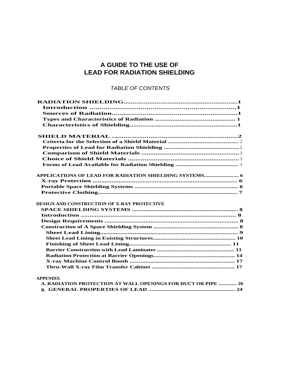## **A GUIDE TO THE USE OF LEAD FOR RADIATION SHIELDING**

## TABLE OF CONTENTS

| <b>APPLICATIONS OF LEAD FOR RADIATION SHIELDING SYSTEMS 6</b> |  |
|---------------------------------------------------------------|--|
|                                                               |  |
|                                                               |  |
|                                                               |  |
| <b>DESIGN AND CONSTRUCTION OF X-RAY PROTECTIVE</b>            |  |
|                                                               |  |
|                                                               |  |
|                                                               |  |
|                                                               |  |
|                                                               |  |
|                                                               |  |
|                                                               |  |
|                                                               |  |
|                                                               |  |
|                                                               |  |
|                                                               |  |
| <b>APPENDIX</b>                                               |  |
| A. RADIATION PROTECTION AT WALL OPENINGS FOR DUCT OR PIPE  20 |  |
|                                                               |  |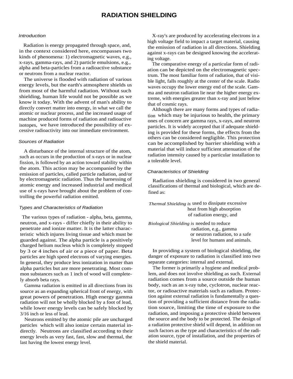## **RADIATION SHIELDING**

Radiation is energy propagated through space, and, in the context considered here, encompasses two kinds of phenomena: 1) electromagnetic waves, e.g., x-rays, gamma-rays, and 2) particle emulsions, e.g., alpha and beta-particles from a radioactive substance or neutrons from a nuclear reactor.

The universe is flooded with radiation of various energy levels, but the earth's atmosphere shields us from most of the harmful radiation. Without such shielding, human life would not be possible as we know it today. With the advent of man's ability to directly convert matter into energy, in what we call the atomic or nuclear process, and the increased usage of machine produced forms of radiation and radioactive isotopes, we have introduced the possibility of excessive radioactivity into our immediate environment.

#### Sources of Radiation

A disturbance of the internal structure of the atom, such as occurs in the production of x-rays or in nuclear fission, is followed by an action toward stability within the atom. This action may be accompanied by the emission of particles, called particle radiation, and/or by electromagnetic radiation. Thus the harnessing of atomic energy and increased industrial and medical use of x-rays have brought about the problem of controlling the powerful radiation emitted.

#### Types and Characteristics of Radiation

The various types of radiation - alpha, beta, gamma, neutron, and x-rays - differ chiefly in their ability to penetrate and ionize matter. It is the latter characteristic which injures living tissue and which must be guarded against. The alpha particle is a positively charged helium nucleus which is completely stopped by 3 or 4 inches of air or a piece of paper. Beta particles are high speed electrons of varying energies. In general, they produce less ionization in matter than alpha particles but are more penetrating. Most common substances such as 1 inch of wood will completely absorb beta rays.

Gamma radiation is emitted in all directions from its source as an expanding spherical front of energy, with great powers of penetration. High energy gamma radiation will not be wholly blocked by a foot of lead, while lower energy levels can be safely blocked by 3/16 inch or less of lead.

Neutrons emitted by the atomic pile are uncharged particles which will also ionize certain material indirectly. Neutrons are classified according to their energy levels as very fast, fast, slow and thermal, the last having the lowest energy level.

Introduction X-ray's are produced by accelerating electrons in a high voltage field to impact a target material, causing the emission of radiation in all directions. Shielding against x-rays can be designed knowing the accelerating voltage.

> The comparative energy of a particular form of radiation can be depicted on the electromagnetic spectrum. The most familiar form of radiation, that of visible light, falls roughly at the center of the scale. Radio waves occupy the lower energy end of the scale. Gamma and neutron radiation lie near the higher energy extreme, with energies greater than x-ray and just below that of cosmic rays.

> Although there are many forms and types of radiation which may be injurious to health, the primary ones of concern are gamma rays, x-rays, and neutron particles. It is widely accepted that if adequate shielding is provided for these forms, the effects from the others can be considered negligible. This protection can be accomplished by barrier shielding with a material that will induce sufficient attenuation of the radiation intensity caused by a particular installation to a tolerable level.

#### Characteristics of Shielding

Radiation shielding is considered in two general classifications of thermal and biological, which are defined as:

*Thermal Shielding is* used to dissipate excessive heat from high absorption of radiation energy, and

*Biological Shielding is* needed to reduce radiation, e.g., gamma or neutron radiation, to a safe level for humans and animals.

In providing a system of biological shielding, the danger of exposure to radiation is classified into two separate categories: internal and external.

The former is primarily a hygiene and medical problem, and does not involve shielding as such. External radiation comes from a source outside the human body, such as an x-ray tube, cyclotron, nuclear reactor, or radioactive materials such as radium. Protection against external radiation is fundamentally a question of providing a sufficient distance from the radiation source, limiting the time of exposure to the radiation, and imposing a protective shield between the source and the body to be protected. The design of a radiation protective shield will depend, in addition on such factors as the type and characteristics of the radiation source, type of installation, and the properties of the shield material.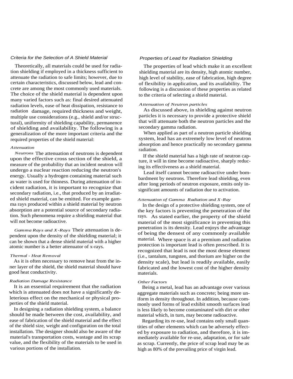#### Criteria for the Selection of A Shield Material

Theoretically, all materials could be used for radiation shielding if employed in a thickness sufficient to attenuate the radiation to safe limits; however, due to certain characteristics, discussed below, lead and concrete are among the most commonly used materials. The choice of the shield material is dependent upon many varied factors such as: final desired attenuated radiation levels, ease of heat dissipation, resistance to radiation damage, required thickness and weight, multiple use considerations (e.g., shield and/or structural), uniformity of shielding capability, permanence of shielding and availability. The following is a generalization of the more important criteria and the required properties of the shield material:

#### *Attenuation*

*Neutrons* The attenuation of neutrons is dependent upon the effective cross section of the shield, a measure of the probability that an incident neutron will undergo a nuclear reaction reducing the neutron's energy. Usually a hydrogen containing material such as water is used for thinness. During attenuation of incident radiation, it is important to recognize that secondary radiation, i.e., that produced by an irradiated shield material, can be emitted. For example gamma rays produced within a shield material by neutron absorption are a potential source of secondary radiation. Such phenomena require a shielding material that will not become radioactive.

*Gamma Rays and X-Rays* Their attenuation is dependent upon the density of the shielding material; it can be shown that a dense shield material with a higher atomic number is a better attenuator of x-rays.

#### *Thermal - Heat Removal*

As it is often necessary to remove heat from the inner layer of the shield, the shield material should have good heat conductivity.

#### *Radiation Damage Resistance*

It is an essential requirement that the radiation which is attenuated does not have a significantly deleterious effect on the mechanical or physical properties of the shield material.

In designing a radiation shielding system, a balance should be made between the cost, availability, and ease of fabrication of the shield material and the effect of the shield size, weight and configuration on the total installation. The designer should also be aware of the material's transportation costs, wastage and its scrap value, and the flexibility of the materials to be used in various portions of the installation.

#### Properties of Lead for Radiation Shielding

The properties of lead which make it an excellent shielding material are its density, high atomic number, high level of stability, ease of fabrication, high degree of flexibility in application, and its availability. The following is a discussion of these properties as related to the criteria of selecting a shield material.

#### *Attenuation of Neutron particles*

As discussed above, in shielding against neutron particles it is necessary to provide a protective shield that will attenuate both the neutron particles and the secondary gamma radiation.

When applied as part of a neutron particle shielding system, lead has an extremely low level of neutron absorption and hence practically no secondary gamma radiation.

If the shield material has a high rate of neutron capture, it will in time become radioactive, sharply reducing its effectiveness as a shield material.

Lead itself cannot become radioactive under bombardment by neutrons. Therefore lead shielding, even after long periods of neutron exposure, emits only insignificant amounts of radiation due to activation.

#### *Attenuation of Gamma Radiation and X-Ray*

In the design of a protective shielding system, one of the key factors is preventing the penetration of the rays. As stated earlier, the property of the shield material of the most significance in preventing this penetration is its density. Lead enjoys the advantage of being the densest of any commonly available material. Where space is at a premium and radiation protection is important lead is often prescribed. It is recognized that lead is not the most dense element (i.e., tantalum, tungsten, and thorium are higher on the density scale), but lead is readily available, easily fabricated and the lowest cost of the higher density materials.

#### *Other Factors*

Being a metal, lead has an advantage over various aggregate materials such as concrete; being more uniform in density throughout. In addition, because commonly used forms of lead exhibit smooth surfaces lead is less likely to become contaminated with dirt or other material which, in turn, may become radioactive.

Regarding its re-use, lead contains only small quantities of other elements which can be adversely effected by exposure to radiation, and therefore, it is immediately available for re-use, adaptation, or for sale as scrap. Currently, the price of scrap lead may be as high as 80% of the prevailing price of virgin lead.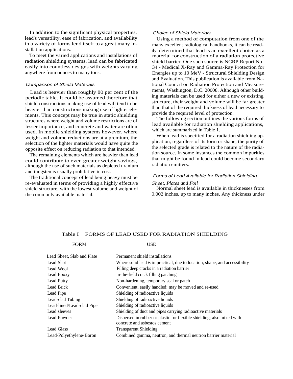In addition to the significant physical properties, lead's versatility, ease of fabrication, and availability in a variety of forms lend itself to a great many installation applications.

To meet the varied applications and installations of radiation shielding systems, lead can be fabricated easily into countless designs with weights varying anywhere from ounces to many tons.

#### Comparison of Shield Materials

Lead is heavier than roughly 80 per cent of the periodic table. It could be assumed therefore that shield constructions making use of lead will tend to be heavier than constructions making use of lighter elements. This concept may be true in static shielding structures where weight and volume restrictions are of lesser importance, and concrete and water are often used. In mobile shielding systems however, where weight and volume reductions are at a premium, the selection of the lighter materials would have quite the opposite effect on reducing radiation to that intended.

The remaining elements which are heavier than lead could contribute to even greater weight savings, although the use of such materials as depleted uranium and tungsten is usually prohibitive in cost.

The traditional concept of lead being heavy must be re-evaluated in terms of providing a highly effective shield structure, with the lowest volume and weight of the commonly available material.

#### Choice of Shield Materials

Using a method of computation from one of the many excellent radiological handbooks, it can be readily determined that lead is an excellent choice as a material for construction of a radiation protective shield barrier. One such source is NCRP Report No. 34 - Medical X-Ray and Gamma-Ray Protection for Energies up to 10 MeV - Structural Shielding Design and Evaluation. This publication is available from National Council on Radiation Protection and Measurements, Washington, D.C. 20008. Although other building materials can be used for either a new or existing structure, their weight and volume will be far greater than that of the required thickness of lead necessary to provide the required level of protection.

The following section outlines the various forms of lead available for radiation shielding applications, which are summarized in Table 1.

When lead is specified for a radiation shielding application, regardless of its form or shape, the purity of the selected grade is related to the nature of the radiation source. In some instances the common impurities that might be found in lead could become secondary radiation emitters.

#### Forms of Lead Available for Radiation Shielding

#### *Sheet, Plates and Foil*

Normal sheet lead is available in thicknesses from 0.002 inches, up to many inches. Any thickness under

| <b>FORM</b>                | <b>USE</b>                                                                                             |
|----------------------------|--------------------------------------------------------------------------------------------------------|
| Lead Sheet, Slab and Plate | Permanent shield installations                                                                         |
| Lead Shot                  | Where solid lead is impractical, due to location, shape, and accessibility                             |
| Lead Wool                  | Filling deep cracks in a radiation barrier                                                             |
| Lead Epoxy                 | In-the-field crack filling patching                                                                    |
| Lead Putty                 | Non-hardening, temporary seal or patch                                                                 |
| Lead Brick                 | Convenient, easily handled; may be moved and re-used                                                   |
| Lead Pipe                  | Shielding of radioactive liquids                                                                       |
| Lead-clad Tubing           | Shielding of radioactive liquids                                                                       |
| Lead-lined/Lead-clad Pipe  | Shielding of radioactive liquids                                                                       |
| Lead sleeves               | Shielding of duct and pipes carrying radioactive materials                                             |
| Lead Powder                | Dispersed in rubber or plastic for flexible shielding; also mixed with<br>concrete and asbestos cement |
| Lead Glass                 | <b>Transparent Shielding</b>                                                                           |
| Lead-Polyethylene-Boron    | Combined gamma, neutron, and thermal neutron barrier material                                          |

#### Table I FORMS OF LEAD USED FOR RADIATION SHIELDING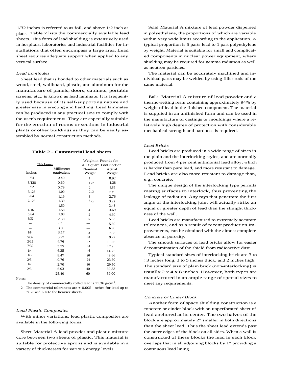1/32 inches is referred to as foil, and above 1/2 inch as plate. Table 2 lists the commercially available lead sheets. This form of lead shielding is extensively used in hospitals, laboratories and industrial facilities for installations that often encompass a large area. Lead sheet requires adequate support when applied to any vertical surface.

#### *Lead Laminates*

Sheet lead that is bonded to other materials such as wood, steel, wallboard, plastic, and aluminum for the manufacture of panels, doors, cabinets, portable screens, etc., is known as lead laminate. It is frequently used because of its self-supporting nature and greater ease in erecting and handling. Lead laminates can be produced in any practical size to comply with the user's requirements. They are especially suitable for the erection of rooms or sections in industrial plants or other buildings as they can be easily assembled by normal construction methods.

#### **Table 2 - Commercial lead sheets**

| Thickness<br>Inches | Millimeter<br>equivalent | Weight in Pounds for<br>Nominal<br>Weight | a 1 Square Foot Section<br>Actual<br>Weight |  |
|---------------------|--------------------------|-------------------------------------------|---------------------------------------------|--|
| 1/64                | 0.40                     | ı                                         | 0.92                                        |  |
| 3/128               | 0.60                     | $1^{1/2}$                                 | 1.38                                        |  |
| 1/32                | 0.79                     | $\overline{c}$                            | 1.85                                        |  |
| 5/128               | 1.00                     | 21/2                                      | 2.31                                        |  |
| 3/64                | 1.19                     | $\overline{3}$                            | 2.76                                        |  |
| 7/128               | 1.39                     | 3/2                                       | 3.22                                        |  |
|                     | 1.50                     |                                           | 3.48                                        |  |
| 1/16                | 1.58                     | $\overline{4}$                            | 3.69                                        |  |
| 5/64                | 1.98                     | 5                                         | 4.60                                        |  |
| 3/32                | 2.38                     | 6                                         | 5.53                                        |  |
|                     | 2.5                      |                                           | 5.80                                        |  |
|                     | 3.0                      |                                           | 6.98                                        |  |
| 1/8                 | 3.17                     | 8                                         | 7.38                                        |  |
| 5/32                | 3.97                     | $\frac{1}{2}$                             | 9.22                                        |  |
| 3/16                | 4.76                     | 2                                         | 11.06                                       |  |
| 7/32                | 5.55                     | 4                                         | 12.9                                        |  |
| 1/4                 | 6.35                     | 6                                         | 14.75                                       |  |
| 1/3                 | 8.47                     | 20                                        | 19.66                                       |  |
| 2/5                 | 10.76                    | 24                                        | 23.60                                       |  |
| 1/2                 | 12.70                    | 30                                        | 29.50                                       |  |
| 2/3                 | 16.93                    | 40                                        | 39.33                                       |  |
|                     | 25.40                    | 60                                        | 59.00                                       |  |

Notes:

I. The density of commercially rolled lead is  $11.36$  g/cm<sup>3</sup>.

2. The commercial tolerances are  $+-0.005$  inches for lead up to 7/128 and +-1/32 for heavier sheets.

#### *Lead Plastic Composites*

With minor variations, lead plastic composites are available in the following forms:

Sheet Material A lead powder and plastic mixture core between two sheets of plastic. This material is suitable for protective aprons and is available in a variety of thicknesses for various energy levels.

Solid Material A mixture of lead powder dispersed in polyethylene, the proportions of which are variable within very wide limits according to the application. A typical proportion is 5 parts lead to 1 part polyethylene by weight. Material is suitable for small and complicated components in nuclear power equipment, where shielding may be required for gamma radiation as well as neutron particles.

The material can be accurately machined and individual parts may be welded by using filler rods of the same material.

Bulk Material A mixture of lead powder and a thermo-setting resin containing approximately 94% by weight of lead in the finished component. The material is supplied in an unfinished form and can be used in the manufacture of castings or mouldings where a relatively high degree of protection with considerable mechanical strength and hardness is required.

#### *Lead Bricks*

Lead bricks are produced in a wide range of sizes in the plain and the interlocking styles, and are normally produced from 4 per cent antimonial lead alloy, which is harder than pure lead, and more resistant to damage. Lead bricks are also more resistant to damage than, e.g., concrete.

The unique design of the interlocking type permits mating surfaces to interlock, thus preventing the leakage of radiation. Any rays that penetrate the first angle of the interlocking joint will actually strike an equal or greater depth of lead than the straight thickness of the wall.

Lead bricks are manufactured to extremely accurate tolerances, and as a result of recent production improvements, can be obtained with the almost complete absence of porosity.

The smooth surfaces of lead bricks allow for easier decontamination of the shield from radioactive dust.

Typical standard sizes of interlocking brick are 3 to <sup>1</sup> 3 inches long, 3 to 5 inches thick, and 2 inches high. The standard size of plain brick (non-interlocking) is usually 2 x 4 x 8 inches. However, both types are manufactured in an ample range of special sizes to meet any requirements.

#### *Concrete or Cinder Block*

Another form of space shielding construction is a concrete or cinder block with an unperforated sheet of lead anchored at its center. The two halves of the block are approximately 2" smaller in both directions than the sheet lead. Thus the sheet lead extends past the outer edges of the block on all sides. When a wall is constructed of these blocks the lead in each block overlaps that in all adjoining blocks by 1" providing a continuous lead lining.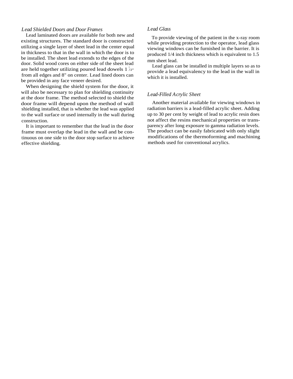#### *Lead Shielded Doors and Door Frames*

Lead laminated doors are available for both new and existing structures. The standard door is constructed utilizing a single layer of sheet lead in the center equal in thickness to that in the wall in which the door is to be installed. The sheet lead extends to the edges of the door. Solid wood cores on either side of the sheet lead are held together utilizing poured lead dowels  $1 \frac{1}{2}$ . from all edges and 8" on center. Lead lined doors can be provided in any face veneer desired.

When designing the shield system for the door, it will also be necessary to plan for shielding continuity at the door frame. The method selected to shield the door frame will depend upon the method of wall shielding installed, that is whether the lead was applied to the wall surface or used internally in the wall during construction.

It is important to remember that the lead in the door frame must overlap the lead in the wall and be continuous on one side to the door stop surface to achieve effective shielding.

## *Lead Glass*

To provide viewing of the patient in the x-ray room while providing protection to the operator, lead glass viewing windows can be furnished in the barrier. It is produced 1/4 inch thickness which is equivalent to 1.5 mm sheet lead.

Lead glass can be installed in multiple layers so as to provide a lead equivalency to the lead in the wall in which it is installed.

#### *Lead-Filled Acrylic Sheet*

Another material available for viewing windows in radiation barriers is a lead-filled acrylic sheet. Adding up to 30 per cent by weight of lead to acrylic resin does not affect the resins mechanical properties or transparency after long exposure to gamma radiation levels. The product can be easily fabricated with only slight modifications of the thermoforming and machining methods used for conventional acrylics.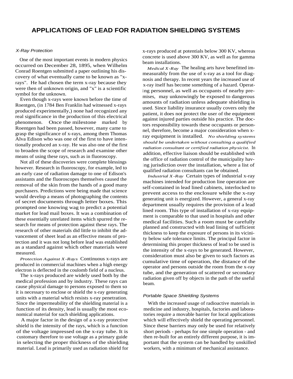#### X-Ray Protection

One of the most important events in modern physics occurred on December 28, 1895, when Wilhelm Conrad Roentgen submitted a paper outlining his discovery of what eventually came to be known as "xrays". He had chosen the term x-ray because they were then of unknown origin, and "x" is a scientific symbol for the unknown.

Even though x-rays were known before the time of Roentgen, (in 1784 Ben Franklin had witnessed x-rays produced experimentally,) none had recognized any real significance in the production of this electrical phenomenon. Once the milestone marked by Roentgen had been passed, however, many came to grasp the significance of x-rays, among them Thomas Alva Edison who was one of the first to have intentionally produced an x-ray. He was also one of the first to broaden the scope of research and examine other means of using these rays, such as in fluoroscopy.

Not all of these discoveries were complete blessings however. Research in fluoroscopy, for example, led to an early case of radiation damage to one of Edison's assistants and the fluoroscopes themselves caused the removal of the skin from the hands of a good many purchasers. Predictions were being made that science would develop a means of photographing the contents of secret documents through letter boxes. This prompted one knowing wag to predict a potential market for lead mail boxes. It was a combination of these essentially unrelated items which spurred the research for means of protection against these rays. The research of other materials did little to inhibit the advancement of sheet lead as an effective means of protection and it was not long before lead was established as a standard against which other materials were measured.

*Protection Against X-Rays* Continuous x-rays are produced in commercial machines when a high energy electron is deflected in the coulomb field of a nucleus.

The x-rays produced are widely used both by the medical profession and by industry. These rays can cause physical damage to persons exposed to them so it is necessary to enclose or shield the x-ray generating units with a material which resists x-ray penetration. Since the impermeability of the shielding material is a function of its density, lead is usually the most economical material for such shielding applications.

A major factor in the design of a x-ray protective shield is the intensity of the rays, which is a function of the voltage impressed on the x-ray tube. It is customary therefore to use voltage as a primary guide in selecting the proper thickness of the shielding material. Lead is primarily used as radiation shield for x-rays produced at potentials below 300 KV, whereas concrete is used above 300 KV, as well as for gamma beam installations.

*Medical X-Ray* The healing arts have benefitted immeasurably from the use of x-ray as a tool for diagnosis and therapy. In recent years the increased use of x-ray itself has become something of a hazard. Operating personnel, as well as occupants of nearby premises, may unknowingly be exposed to dangerous amounts of radiation unless adequate shielding is used. Since liability insurance usually covers only the patient, it does not protect the user of the equipment against injured parties outside his practice. The doctors responsibility towards these occupants or personnel, therefore, become a major consideration when xray equipment is installed. *No shielding systems should be undertaken without consulting a qualified radiation consultant or certified radiation physicist.* In addition, effective liaison should be established with the office of radiation control of the municipality having jurisdiction over the installation, where a list of qualified radiation consultants can be obtained.

*Industrial X-Ray* Certain types of industrial x-ray machines intended for production line operation are self-contained in lead lined cabinets, interlocked to prevent access to the enclosure while the x-ray generating unit is energized. However, a general x-ray department usually requires the provision of a lead lined room. This type of installation of x-ray equipment is comparable to that used in hospitals and other medical facilities. Such a room must be carefully planned and constructed with lead lining of sufficient thickness to keep the exposure of persons in its vicinity below safe tolerance limits. The principal factor in determining this proper thickness of lead to be used is the intensity of the x-rays to be generated. However, consideration must also be given to such factors as cumulative time of operation, the distance of the operator and persons outside the room from the x-ray tube, and the generation of scattered or secondary radiation given off by objects in the path of the useful beam.

#### Portable Space Shielding Systems

With the increased usage of radioactive materials in medicine and industry, hospitals, factories and laboratories require a movable barrier for local applications which will effectively shield the operating personnel. Since these barriers may only be used for relatively short periods - perhaps for one simple operation - and then re-built for an entirely different purpose, it is important that the system can be handled by unskilled workers, with a minimum of mechanical assistance.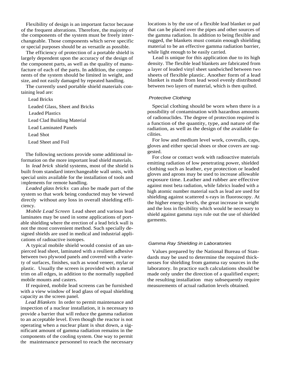Flexibility of design is an important factor because of the frequent alterations. Therefore, the majority of the components of the system must be freely interchangeable. Those components which serve specific or special purposes should be as versatile as possible.

The efficiency of protection of a portable shield is largely dependent upon the accuracy of the design of the component parts, as well as the quality of manufacture of each of the parts. In addition, the components of the system should be limited in weight, and size, and not easily damaged by repeated handling.

The currently used portable shield materials containing lead are:

Lead Bricks Leaded Glass, Sheet and Bricks Leaded Plastics Lead Clad Building Material Lead Laminated Panels Lead Shot Lead Sheet and Foil

The following sections provide some additional information on the more important lead shield materials.

In *lead brick* shield systems, most of the shield is built from standard interchangeable wall units, with special units available for the installation of tools and implements for remote handling.

*Leaded glass bricks* can also be made part of the system so that work being conducted may be viewed directly without any loss in overall shielding efficiency.

*Mobile Lead Screen* Lead sheet and various lead laminates may be used in some applications of portable shielding where the erection of a lead brick wall is not the most convenient method. Such specially designed shields are used in medical and industrial applications of radioactive isotopes.

A typical mobile shield would consist of an unpierced lead sheet, laminated with a resilient adhesive between two plywood panels and covered with a variety of surfaces, finishes, such as wood veneer, mylar or plastic. Usually the screen is provided with a metal trim on all edges, in addition to the normally supplied mobile mounts and casters.

If required, mobile lead screens can be furnished with a view window of lead glass of equal shielding capacity as the screen panel.

*Lead Blankets* In order to permit maintenance and inspection of a nuclear installation, it is necessary to provide a barrier that will reduce the gamma radiation to an acceptable level. Even though the reactor is not operating when a nuclear plant is shut down, a significant amount of gamma radiation remains in the components of the cooling system. One way to permit the maintenance personnel to reach the necessary locations is by the use of a flexible lead blanket or pad that can be placed over the pipes and other sources of the gamma radiation. In addition to being flexible and rugged, the blankets must contain enough shielding material to be an effective gamma radiation barrier, while light enough to be easily carried.

Lead is unique for this application due to its high density. The flexible lead blankets are fabricated from a layer of leaded vinyl sheet sandwiched between two sheets of flexible plastic. Another form of a lead blanket is made from lead wool evenly distributed between two layers of material, which is then quilted.

#### Protective Clothing

Special clothing should be worn when there is a possibility of contamination with hazardous amounts of radionuclides. The degree of protection required is a function of the quantity, type, and nature of the radiation, as well as the design of the available facilities.

For low and medium level work, coveralls, caps, gloves and either special shoes or shoe covers are suggested.

For close or contact work with radioactive materials emitting radiation of low penetrating power, shielded clothing such as leather, eye protection or leaded gloves and aprons may be used to increase allowable exposure time. Leather and rubber are effective against most beta radiation, while fabrics loaded with a high atomic number material such as lead are used for shielding against scattered x-rays in fluoroscopy. At the higher energy levels, the great increase in weight and the loss in flexibility which would be necessary to shield against gamma rays rule out the use of shielded garments.

#### Gamma Ray Shielding in Laboratories

Values prepared by the National Bureau of Standards may be used to determine the required thicknesses for shielding from gamma ray sources in the laboratory. In practice such calculations should be made only under the direction of a qualified expert; the resulting installation may subsequently require measurements of actual radiation levels obtained.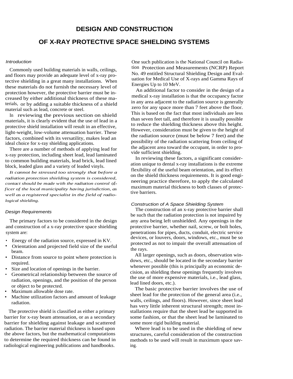## **DESIGN AND CONSTRUCTION**

## **OF X-RAY PROTECTIVE SPACE SHIELDING SYSTEMS**

#### **Introduction**

Commonly used building materials in walls, ceilings, and floors may provide an adequate level of x-ray protective shielding in a great many installations. When these materials do not furnish the necessary level of protection however, the protective barrier must be increased by either additional thickness of these materials, or by adding a suitable thickness of a shield material such as lead, concrete or steel.

In reviewing the previous section on shield materials, it is clearly evident that the use of lead in a protective shield installation will result in an effective, light-weight, low-volume attenuation barrier. These factors, combined with its versatility, makes lead an ideal choice for x-ray shielding applications.

There are a number of methods of applying lead for x-ray protection, including sheet lead, lead laminated to common building materials, lead brick, lead lined block, leaded glass and a variety of leaded vinyls.

*It cannot be stressed too strongly that before a radiation protection shielding system is considered, contact should be made with the radiation control* of*ficer of the local municipality having jurisdiction, as well as a registered specialist in the field of radiological shielding.*

#### Design Requirements

The primary factors to be considered in the design and construction of a x-ray protective space shielding system are:

- Energy of the radiation source, expressed in KV.
- Orientation and projected field size of the useful beam.
- Distance from source to point where protection is required.
- Size and location of openings in the barrier.
- Geometrical relationship between the source of radiation, openings, and the position of the person or object to be protected.
- Maximum allowable dose rate.
- Machine utilization factors and amount of leakage radiation.

The protective shield is classified as either a primary barrier for x-ray beam attenuation, or as a secondary barrier for shielding against leakage and scattered radiation. The barrier material thickness is based upon the above factors, but the mathematical computations to determine the required thickness can be found in radiological engineering publications and handbooks.

One such publication is the National Council on Radiation Protection and Measurements (NCRP) Report No. 49 entitled Structural Shielding Design and Evaluation for Medical Use of X-rays and Gamma Rays of Energies Up to 10 MeV.

An additional factor to consider in the design of a medical x-ray installation is that the occupancy factor in any area adjacent to the radiation source is generally zero for any space more than 7 feet above the floor. This is based on the fact that most individuals are less than seven feet tall, and therefore it is usually possible to reduce the shielding thickness above this height. However, consideration must be given to the height of the radiation source (must be below 7 feet) and the possibility of the radiation scattering from ceiling of the adjacent area toward the occupant, in order to provide sufficient shielding.

In reviewing these factors, a significant consideration unique to dental x-ray installations is the extreme flexibility of the useful beam orientation, and its effect on the shield thickness requirements. It is good engineering practice therefore, to apply the calculated maximum material thickness to both classes of protective barriers.

#### Construction of A Space Shielding System

The construction of an x-ray protective barrier shall be such that the radiation protection is not impaired by any area being left unshielded. Any openings in the protective barrier, whether nail, screw, or bolt holes, penetrations for pipes, ducts, conduit, electric service devices, or louvers, doors, windows, etc., must be so protected as not to impair the overall attenuation of the rays.

All larger openings, such as doors, observation windows, etc., should be located in the secondary barrier whenever possible (this is principally an economic decision, as shielding these openings frequently involves the use of more expensive materials, i.e., lead glass, lead lined doors, etc.).

The basic protective barrier involves the use of sheet lead for the protection of the general area (i.e., walls, ceilings, and floors). However, since sheet lead has very little inherent structural strength; most installations require that the sheet lead be supported in some fashion, or that the sheet lead be laminated to some more rigid building material.

Where lead is to be used in the shielding of new structures, careful consideration of the construction methods to be used will result in maximum space saving.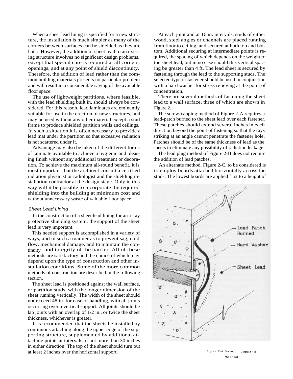When a sheet lead lining is specified for a new structure, the installation is much simpler as many of the corners between surfaces can be shielded as they are built. However, the addition of sheet lead to an existing structure involves no significant design problems, except that special care is required at all corners, openings, and at any point of shield discontinuity. Therefore, the addition of lead rather than the common building materials presents no particular problem and will result in a considerable saving of the available floor space.

The use of lightweight partitions, where feasible, with the lead shielding built in, should always be considered. For this reason, lead laminates are eminently suitable for use in the erection of new structures, and may be used without any other material except a stud frame to produce shielded partition walls and ceilings. In such a situation it is often necessary to provide a lead mat under the partition so that excessive radiation is not scattered under it.

Advantage may also be taken of the different forms of laminate available to achieve a hygienic and pleasing finish without any additional treatment or decoration. To achieve the maximum all-round benefit, it is most important that the architect consult a certified radiation physicist or radiologist and the shielding installation contractor at the design stage. Only in this way will it be possible to incorporate the required shielding into the building at minimum cost and without unnecessary waste of valuable floor space.

#### Sheet Lead Lining

In the construction of a sheet lead lining for an x-ray protective shielding system, the support of the sheet lead is very important.

This needed support is accomplished in a variety of ways, and in such a manner as to prevent sag, cold flow, mechanical damage, and to maintain the continuity and integrity of the barrier. All of these methods are satisfactory and the choice of which may depend upon the type of construction and other installation conditions. Some of the more common methods of construction are described in the following section.

The sheet lead is positioned against the wall surface, or partition studs, with the longer dimension of the sheet running vertically. The width of the sheet should not exceed 48 in. for ease of handling, with all joints occurring over a vertical support. All joints should be lap joints with an overlap of 1/2 in., or twice the sheet thickness, whichever is greater.

It is recommended that the sheets be installed by continuous attaching along the upper edge of the supporting structure, supplemented by additional attaching points at intervals of not more than 30 inches in either direction. The top of the sheet should turn out at least 2 inches over the horizontal support.

At each joint and at 16 in. intervals, studs of either wood, steel angles or channels are placed running from floor to ceiling, and secured at both top and bottom. Additional securing at intermediate points is required, the spacing of which depends on the weight of the sheet lead, but in no case should this vertical spacing be greater than 4 ft. The lead sheet is secured by fastening through the lead to the supporting studs. The selected type of fastener should be used in conjunction with a hard washer for stress relieving at the point of concentration.

There are several methods of fastening the sheet lead to a wall surface, three of which are shown in Figure 2.

The screw-capping method of Figure 2-A requires a lead-patch burned to the sheet lead over each fastener. These patches should extend several inches in each direction beyond the point of fastening so that the rays striking at an angle cannot penetrate the fastener hole. Patches should be of the same thickness of lead as the sheets to eliminate any possibility of radiation leakage.

The lead plug method of Figure 2-B does not require the addition of lead patches.

An alternate method, Figure 2-C, to be considered is to employ boards attached horizontally across the studs. The lowest boards are applied first to a height of



Figure 2-A Screw - Capping Method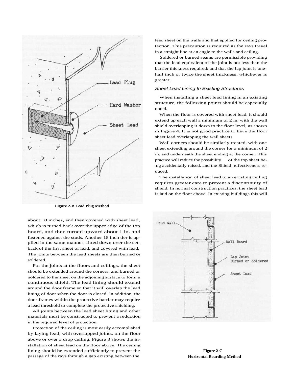

**Figure 2-B Lead Plug Method**

about 18 inches, and then covered with sheet lead, which is turned back over the upper edge of the top board, and then turned upward about 1 in. and fastened against the studs. Another 18 inch tier is applied in the same manner, fitted down over the setback of the first sheet of lead, and covered with lead. The joints between the lead sheets are then burned or soldered.

For the joints at the floors and ceilings, the sheet should be extended around the corners, and burned or soldered to the sheet on the adjoining surface to form a continuous shield. The lead lining should extend around the door frame so that it will overlap the lead lining of door when the door is closed. In addition, the door frames within the protective barrier may require a lead threshold to complete the protective shielding.

All joints between the lead sheet lining and other materials must be constructed to prevent a reduction in the required level of protection.

Protection of the ceiling is most easily accomplished by laying lead, with overlapped joints, on the floor above or over a drop ceiling. Figure 3 shows the installation of sheet lead on the floor above. The ceiling lining should be extended sufficiently to prevent the passage of the rays through a gap existing between the

lead sheet on the walls and that applied for ceiling protection. This precaution is required as the rays travel in a straight line at an angle to the walls and ceiling.

Soldered or burned seams are permissible providing that the lead equivalent of the joint is not less than the barrier thickness required; and that the !ap joint is onehalf inch or twice the sheet thickness, whichever is greater.

#### Sheet Lead Lining In Existing Structures

When installing a sheet lead lining in an existing structure, the following points should be especially noted.

When the floor is covered with sheet lead, it should extend up each wall a minimum of 2 in. with the wall shield overlapping it down to the floor level, as shown in Figure 4. It is not good practice to have the floor sheet lead overlapping the wall sheets.

Wall corners should be similarly treated, with one sheet extending around the corner for a minimum of 2 in. and underneath the sheet ending at the corner. This practice will reduce the possibility of the top sheet being accidentally raised, and the Shield effectiveness reduced.

The installation of sheet lead to an existing ceiling requires greater care to prevent a discontinuity of shield. In normal construction practices, the sheet lead is laid on the floor above. In existing buildings this will



**Figure 2-C Horizontal Boarding Method**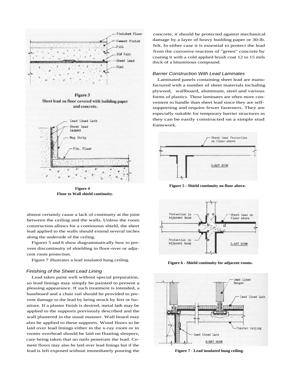

**Figure 4 Floor to Wall shield continuity.**

almost certainly cause a lack of continuity at the joint between the ceiling and the walls. Unless the room construction allows for a continuous shield, the sheet lead applied to the walls should extend several inches along the underside of the ceiling.

Figures 5 and 6 show diagrammatically how to prevent discontinuity of shielding in floor-over or adjacent room protection.

Figure 7 illustrates a lead insulated hung ceiling.

#### Finishing of the Sheet Lead Lining

Lead takes paint well without special preparation, so lead linings may simply be painted to present a pleasing appearance. If such treatment is intended, a baseboard and a chair rail should be provided to prevent damage to the lead by being struck by feet or furniture. If a plaster finish is desired, metal lath may be applied to the supports previously described and the wall plastered in the usual manner. Wall board may also be applied to these supports. Wood floors to be laid over lead linings either in the x-ray room or in rooms overhead should be laid on floating sleepers, care being taken that no nails penetrate the lead. Cement floors may also be laid over lead linings but if the lead is left exposed without immediately pouring the

concrete, it should be protected against mechanical damage by a layer of heavy building paper or 30-lb. felt. In either case it is essential to protect the lead from the corrosive reaction of "green" concrete by coating it with a cold applied brush coat 12 to 15 mils thick of a bituminous compound.

#### Barrier Construction With Lead Laminates

Laminated panels containing sheet lead are manufactured with a number of sheet materials including plywood, wallboard, aluminum, steel and various forms of plastics. These laminates are often more convenient to handle than sheet lead since they are selfsupporting and require fewer fasteners. They are especially suitable for temporary barrier structures as they can be easily constructed on a simple stud framework.



**Figure 5 - Shield continuity on floor above.**



**Figure 6 - Shield continuity for adjacent rooms.**



**Figure 7 - Lead insulated hung ceiling.**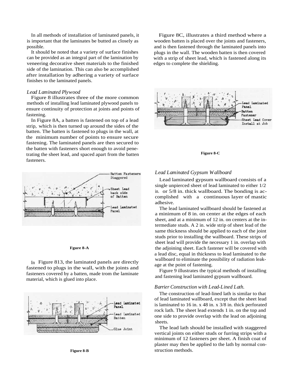In all methods of installation of laminated panels, it is important that the laminates be butted as closely as possible.

It should be noted that a variety of surface finishes can be provided as an integral part of the lamination by veneering decorative sheet materials to the finished side of the lamination. This can also be accomplished after installation by adhering a variety of surface finishes to the laminated panels.

#### *Lead Laminated Plywood*

Figure 8 illustrates three of the more common methods of installing lead laminated plywood panels to ensure continuity of protection at joints and points of fastening.

In Figure 8A, a batten is fastened on top of a lead strip, which is then turned up around the sides of the batten. The batten is fastened to plugs in the wall, at the minimum number of points to ensure secure fastening. The laminated panels are then secured to the batten with fasteners short enough to avoid penetrating the sheet lead, and spaced apart from the batten fasteners.



#### **Fgure 8-A**

In Figure 813, the laminated panels are directly fastened to plugs in the wall, with the joints and fasteners covered by a batten, made trom the laminate material, which is glued into place.





Figure 8C, illustrates a third method where a wooden batten is placed over the joints and fasteners, and is then fastened through the laminated panels into plugs in the wall. The wooden batten is then covered with a strip of sheet lead, which is fastened along its edges to complete the shielding.



**Figure 8-C**

#### *Lead Laminated Gypsum Wallboard*

Lead laminated gypsum wallboard consists of a single unpierced sheet of lead laminated to either 1/2 in. or 5/8 in. thick wallboard. The bonding is accomplished with a continuous layer of mastic adhesive.

The lead laminated wallboard should be fastened at a minimum of 8 in. on center at the edges of each sheet, and at a minimum of 12 in. on centers at the intermediate studs. A 2 in. wide strip of sheet lead of the same thickness should be applied to each of the joint studs prior to installing the wallboard. These strips of sheet lead will provide the necessary 1 in. overlap with the adjoining sheet. Each fastener will be covered with a lead disc, equal in thickness to lead laminated to the wallboard to eliminate the possibility of radiation leakage at the point of fastening.

Figure 9 illustrates the typical methods of installing and fastening lead laminated gypsum wallboard.

#### *Barrier Construction with Lead-Lined Lath.*

The construction of lead-lined lath is similar to that of lead laminated wallboard, except that the sheet lead is laminated to 16 in. x 48 in. x 3/8 in. thick perforated rock lath. The sheet lead extends 1 in. on the top and one side to provide overlap with the lead on adjoining sheets.

The lead lath should be installed with staggered vertical joints on either studs or furring strips with a minimum of 12 fasteners per sheet. A finish coat of plaster may then be applied to the lath by normal construction methods.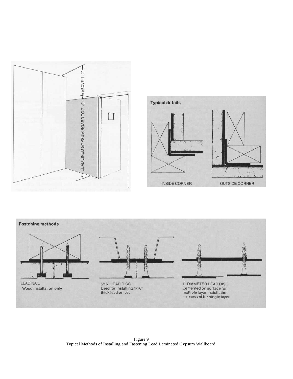





Figure 9 Typical Methods of Installing and Fastening Lead Laminated Gypsum Wallboard.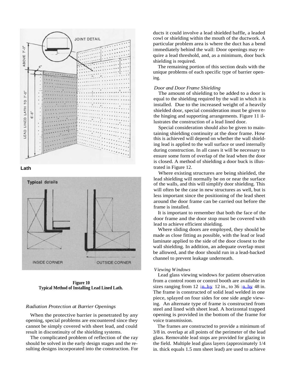





**Figure 10 Typical Method of Installing Lead Lined Lath.**

#### *Radiation Protection at Barrier Openings*

When the protective barrier is penetrated by any opening, special problems are encountered since they cannot be simply covered with sheet lead, and could result in discontinuity of the shielding systems.

The complicated problem of reflection of the ray should be solved in the early design stages and the resulting designs incorporated into the construction. For

ducts it could involve a lead shielded baffle, a leaded cowl or shielding within the mouth of the ductwork. A particular problem area is where the duct has a bend immediately behind the wall: Door openings may require a lead threshold, and, as a minimum, door buck shielding is required.

The remaining portion of this section deals with the unique problems of each specific type of barrier opening.

#### *Door and Door Frame Shielding*

The amount of shielding to be added to a door is equal to the shielding required by the wall in which it is installed. Due to the increased weight of a heavily shielded door, special consideration must be given to the hinging and supporting arrangements. Figure 11 illustrates the construction of a lead lined door.

Special consideration should also be given to maintaining shielding continuity at the door frame. How this is achieved will depend on whether the wall shielding lead is applied to the wall surface or used internally during construction. In all cases it will be necessary to ensure some form of overlap of the lead when the door is closed. A method of shielding a door buck is illustrated in Figure 12.

Where existing structures are being shielded, the lead shielding will normally be on or near the surface of the walls, and this will simplify door shielding. This will often be the case in new structures as well, but is less important since the positioning of the lead sheet around the door frame can be carried out before the frame is installed.

It is important to remember that both the face of the door frame and the door stop must be covered with lead to achieve efficient shielding.

Where sliding doors are employed, they should be made as close fitting as possible, with the lead or lead laminate applied to the side of the door closest to the wall shielding. In addition, an adequate overlap must be allowed, and the door should run in a lead-backed channel to prevent leakage underneath.

#### *Viewing Windows*

Lead glass viewing windows for patient observation from a control room or control booth are available in s[i](http://in.by)zes ranging from  $12$  [in. by](http://in.by)  $12$  in., to  $36$  i[n. by](http://in.by)  $48$  in. The frame is constructed of solid lead welded in one piece, splayed on four sides for one side angle viewing. An alternate type of frame is constructed from steel and lined with sheet lead. A horizontal trapped opening is provided in the bottom of the frame for voice transmission.

The frames are constructed to provide a minimum of 3/8 in. overlap at all points of the perimeter of the lead glass. Removable lead stops are provided for glazing in the field. Multiple lead glass layers (approximately 1/4 in. thick equals 1.5 mm sheet lead) are used to achieve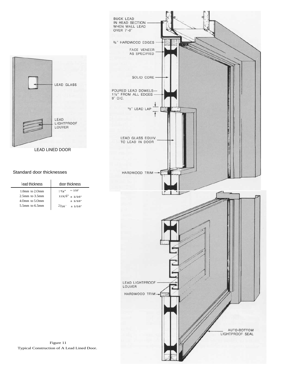

#### Standard door thicknesses

| lead thickness                                                                         | door thickness                                                           |
|----------------------------------------------------------------------------------------|--------------------------------------------------------------------------|
| $1.0$ mm to $2.0$ mm<br>$2.5$ mm to $3.5$ mm<br>4.0mm to 5.0mm<br>$5.5$ mm to $6.5$ mm | $+ 1/16"$<br>13/a''<br>$113/16" + 1/16"$<br>± 1/16"<br>2316"<br>$+1/16"$ |



Figure 11 Typical Construction of A Lead Lined Door.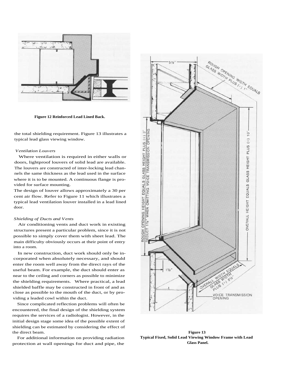

**Figure 12 Reinforced Lead Lined Back.**

the total shielding requirement. Figure 13 illustrates a typical lead glass viewing window.

#### *Ventilation Louvers*

Where ventilation is required in either walls or doors, lightproof louvers of solid lead are available. The louvers are constructed of inter-locking lead channels the same thickness as the lead used in the surface where it is to be mounted. A continuous flange is provided for surface mounting.

The design of louver allows approximately a 30 per cent air flow. Refer to Figure 11 which illustrates a typical lead ventilation louver installed in a lead lined door.

#### *Shielding of Ducts and Vents*

Air conditioning vents and duct work in existing structures present a particular problem, since it is not possible to simply cover them with sheet lead. The main difficulty obviously occurs at their point of entry into a room.

In new construction, duct work should only be incorporated when absolutely necessary, and should enter the room well away from the direct rays of the useful beam. For example, the duct should enter as near to the ceiling and corners as possible to minimize the shielding requirements. Where practical, a lead shielded baffle may be constructed in front of and as close as possible to the mouth of the duct, or by providing a leaded cowl within the duct.

Since complicated reflection problems will often be encountered, the final design of the shielding system requires the services of a radiologist. However, in the initial design stage some idea of the possible extent of shielding can be estimated by considering the effect of the direct beam.

For additional information on providing radiation protection at wall openings for duct and pipe, the



**Figure 13 Typical Fixed, Solid Lead Viewing Window Frame with Lead Glass Panel.**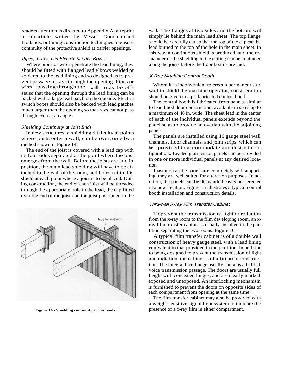readers attention is directed to Appendix A, a reprint of an article written by Messrs. Goodman and Hollands, outlining construction techniques to ensure continuity of the protective shield at barrier openings.

#### *Pipes, Wires, and Electric Service Boxes*

Where pipes or wires penetrate the lead lining, they should be fitted with flanged lead elbows welded or soldered to the lead lining and so designed as to prevent passage of rays through the opening. Pipes or wires passing through the wall may be offset so that the opening through the lead lining can be backed with a large lead patch on the outside. Electric switch boxes should also be backed with lead patches much larger than the opening so that rays cannot pass through even at an angle.

#### *Shielding Continuity at Joist Ends*

In new structures, a shielding difficulty at points where joists enter a wall, can be overcome by a method shown in Figure 14.

The end of the joist is covered with a lead cap with its four sides separated at the point where the joist emerges from the wall. Before the joists are laid in position, the main lead shielding will have to be attached to the wall of the room, and holes cut in this shield at each point where a joist is to be placed. During construction, the end of each joist will be threaded through the appropriate hole in the lead, the cap fitted over the end of the joist and the joist positioned in the



**Figure 14 - Shielding continuity at joist ends.**

wall. The flanges at two sides and the bottom will simply lie behind the main lead sheet. The top flange should be carefully cut so that the top of the cap can be lead burned to the top of the hole in the main sheet. In this way a continuous shield is produced, and the remainder of the shielding to the ceiling can be continued along the joists before the floor boards are laid.

#### X-Ray Machine Control Booth

Where it is inconvenient to erect a permanent stud wall to shield the machine operator, consideration should be given to a prefabricated control booth.

The control booth is fabricated from panels, similar to lead lined door construction, available in sizes up to a maximum of 48 in. wide. The sheet lead in the center of each of the individual panels extends beyond the panel so as to provide an overlap with the adjoining panels.

The panels are installed using 16 gauge steel wall channels, floor channels, and joint strips, which can be provided to accommodate any desired configuration.. Leaded glass vision panels can be provided in one or more individual panels at any desired location.

Inasmuch as the panels are completely self supporting, they are well suited for alteration purposes. In addition, the panels can be dismantled easily and erected in a new location. Figure 15 illustrates a typical control booth installation and construction details.

#### Thru-wall X-ray Film Transfer Cabinet

To prevent the transmission of light or radiation from the x-ray room to the film developing room, an xray film transfer cabinet is usually installed in the partition separating the two rooms: Figure 16.

A typical film transfer cabinet is of a double wall construction of heavy gauge steel, with a lead lining equivalent to that provided in the partition. In addition to being designed to prevent the transmission of light and radiation, the cabinet is of a fireproof construction. The integral face flange usually contains a baffled voice transmission passage. The doors are usually full height with concealed hinges, and are clearly marked exposed and unexposed. An interlocking mechanism is furnished to prevent the doors on opposite sides of each compartment from opening at the same time.

The film transfer cabinet may also be provided with a weight sensitive signal light system to indicate the presence of a x-ray film in either compartment.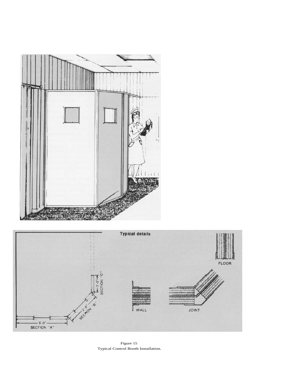



Figure 15 Typical Control Booth Installation.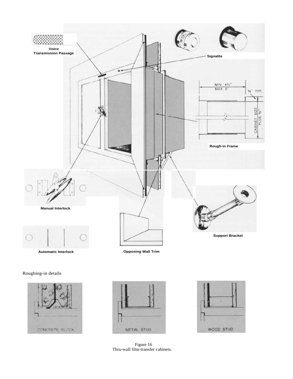

## Roughing-in details





Figure 16 Thru-wall film-transfer cabinets.

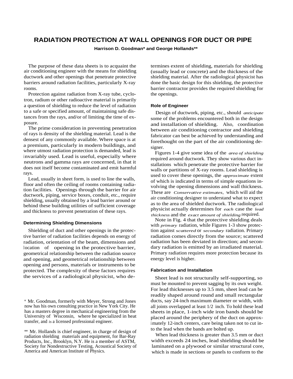## **RADIATION PROTECTION AT WALL OPENINGS FOR DUCT OR PIPE**

#### **Harrison D. Goodman\* and George Hollands\*\***

The purpose of these data sheets is to acquaint the air conditioning engineer with the means for shielding ductwork and other openings that penetrate protective barriers around radiation facilities, particularly X-ray rooms.

Protection against radiation from X-ray tube, cyclotron, radium or other radioactive material is primarily a question of shielding to reduce the level of radiation to a safe or specified amount, of maintaining safe distances from the rays, and/or of limiting the time of exposure.

The prime consideration in preventing penetration of rays is density of the shielding material. Lead is the densest of any commonly available. Where space is at a premium, particularly in modern buildings, and where utmost radiation protection is demanded, lead is invariably used. Lead is useful, especially where neutrons and gamma rays are concerned, in that it does not itself become contaminated and emit harmful rays.

Lead, usually in sheet form, is used to line the walls, floor and often the ceiling of rooms containing radiation facilities. Openings through the barrier for air ductwork, piping, service boxes, conduit, etc., require shielding, usually obtained by a lead barrier around or behind these building utilities of sufficient coverage and thickness to prevent penetration of these rays.

#### **Determining Shielding Dimensions**

Shielding of duct and other openings in the protective barrier of radiation facilities depends on energy of radiation, orientation of the beam, dimensions and location of opening in the protective barrier, geometrical relationship between the radiation source and opening, and geometrical relationship between opening and persons, materials or instruments to be protected. The complexity of these factors requires the services of a radiological physicist, who de-

\* Mr. Goodman, formerly with Meyer, Strong and Jones now has his own consulting practice in New York City. He has a masters degree in mechanical engineering from the University of Wisconsin, where he specialized in heat transfer, and *is* a licensed professional engineer.

\*\* Mr. Hollands is chief engineer, in charge of design of radiation shielding materials and equipment, for Bar-Ray Products, Inc., Brooklyn, N.Y. He is a member of ASTM, Society for Nondestructive Testing, Acoustical Society of America and American Institute of Physics.

termines extent of shielding, materials for shielding (usually lead or concrete) and the thickness of the shielding material. After the radiological physicist has done the basic design for this shielding, the protective barrier contractor provides the required shielding for the openings.

#### **Role of Engineer**

Design of ductwork, piping, etc., should *anticipate* some of the problems encountered both in the design and installation of shielding. Also, coordination between air conditioning contractor and shielding fabricator can best be achieved by understanding and forethought on the part of the air conditioning designer.

Figures 1-4 give some idea of the *area of shielding* required around ductwork. They show various duct installations which penetrate the protective barrier for walls or partitions of X-ray rooms. Lead shielding is used to cover these openings, the *approximate* extent of which is indicated in terms of simple equations involving the opening dimensions and wall thickness. These are *Conservative estimates,* which will aid the air conditioning designer to understand what to expect as to the area of shielded ductwork. The radiological physicist actually determines for *each* case the *lead thickness* and the *exact amount of shielding* required.

Note in Fig. 4 that the protective shielding deals with *primary* radiation, while Figures 1-3 show protection against *scattered* or *secondary* radiation. Primary radiation comes directly from the source; scattered radiation has been deviated in direction; and secondary radiation is emitted by an irradiated material. Primary radiation requires more protection because its energy level is higher.

#### **Fabrication and Installation**

Sheet lead is not structurally self-supporting, so must be mounted to prevent sagging by its own weight. For lead thicknesses up to 3.5 mm, sheet lead can be readily shaped around round and small rectangular ducts, say 24-inch maximum diameter or width, with all joints overlapped at least 1/2 inch. To hold these lead sheets in place, 1-inch wide iron bands should be placed around the periphery of the duct on approximately 12-inch centers, care being taken not to cut into the lead when the bands are bolted up.

When lead thickness is greater than 3.5 mm or duct width exceeds 24 inches, lead shielding should be laminated on a plywood or similar structural core, which is made in sections or panels to conform to the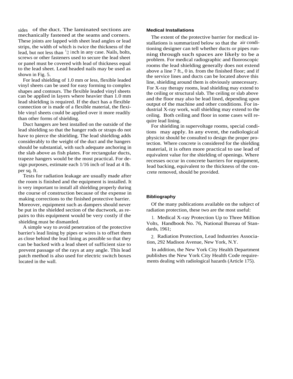sides of the duct. The laminated sections are mechanically fastened at the seams and corners. These joints are lapped with sheet lead angles or lead strips, the width of which is twice the thickness of the lead, but not less than  $\frac{1}{2}$  inch in any case. Nails, bolts, screws or other fasteners used to secure the lead sheet or panel must be covered with lead of thickness equal to the lead sheet. Lead headed nails may be used as shown in Fig. 5.

For lead shielding of 1.0 mm or less, flexible leaded vinyl sheets can be used for easy forming to complex shapes and contours. The flexible leaded vinyl sheets can be applied in layers where heavier than 1.0 mm lead shielding is required. If the duct has a flexible connection or is made of a flexible material, the flexible vinyl sheets could be applied over it more readily than other forms of shielding.

Duct hangers are best installed on the outside of the lead shielding so that the hanger rods or straps do not have to pierce the shielding. The lead shielding adds considerably to the weight of the duct and the hangers should be substantial, with such adequate anchoring in the slab above as fish plates. For rectangular ducts, trapeze hangers would be the most practical. For design purposes, estimate each 1/16 inch of lead at 4 lb. per sq. ft.

Tests for radiation leakage are usually made after the room is finished and the equipment is installed. It is very important to install all shielding properly during the course of construction because of the expense in making corrections to the finished protective barrier. Moreover, equipment such as dampers should never be put in the shielded section of the ductwork, as repairs to this equipment would be very costly if the shielding must be dismantled.

A simple way to avoid penetration of the protective barrier's lead lining by pipes or wires is to offset them as close behind the lead lining as possible so that they can be backed with a lead sheet of sufficient size to prevent passage of the rays at any angle. This lead patch method is also used for electric switch boxes located in the wall.

#### **Medical Installations**

The extent of the protective barrier for medical installations is summarized below so that the air conditioning designer can tell whether ducts or pipes running through such spaces are likely to be a problem. For medical radiographic and fluoroscopic rooms the lead shielding generally does not extend above a line 7 ft., 0 in. from the finished floor; and if the service lines and ducts can be located above this line, shielding around them is obviously unnecessary. For X-ray therapy rooms, lead shielding may extend to the ceiling or structural slab. The ceiling or slab above and the floor may also be lead lined, depending upon output of the machine and other conditions. For industrial X-ray work, wall shielding may extend to the ceiling. Both ceiling and floor in some cases will require lead lining.

For shielding in supervoltage rooms, special conditions may apply. In any event, the radiological physicist should be consulted to design the proper protection. Where concrete is considered for the shielding material, it is often more practical to use lead of equivalent value for the shielding of openings. Where recesses occur in concrete barriers for equipment, lead backing, equivalent to the thickness of the concrete removed, should be provided.

#### **Bibliography**

Of the many publications available on the subject of radiation protection, these two are the most useful:

1. Medical X-ray Protection Up to Three Million Volts, Handbook No. 76, National Bureau of Standards, 1961;

2. Radiation Protection, Lead Industries Association, 292 Madison Avenue, New York, N.Y.

In addition, the New York City Health Department publishes the New York City Health Code requirements dealing with radiological hazards (Article 175).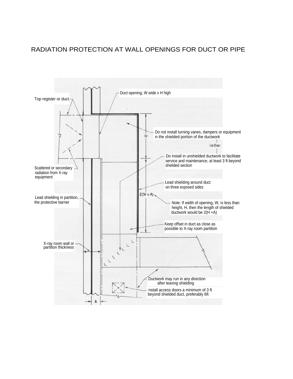## RADIATION PROTECTION AT WALL OPENINGS FOR DUCT OR PIPE

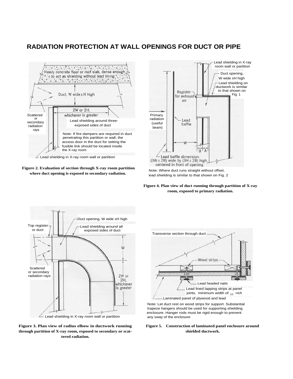## **RADIATION PROTECTION AT WALL OPENINGS FOR DUCT OR PIPE**



**Figure 2. Evaluation of section through X-ray room partition where duct opening is exposed to secondary radiation.**



Note: Where duct runs straight without offset, lead shielding is similar to that shown on Fig. 2

**Figure 4. Plan view of duct running through partition of X-ray room, exposed to primary radiation.**



- Lead shielding in X-ray room wall or partition





Note: Let duct rest on wood strips for support. Substantial trapeze hangers should be used for supporting shielding enclosure. Hanger rods must be rigid enough to prevent any sway of the enclosure

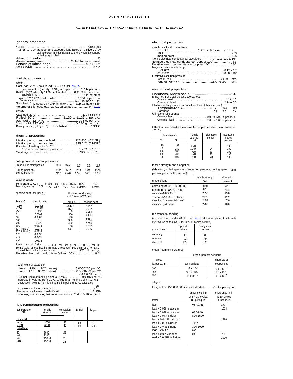#### APPENDIX B

#### GENERAL PROPERTIES OF LEAD

#### general properties

| Patina  On atmospheric exposure lead takes on a silvery grav<br>patina except in industrial atmosphere where it changes<br>to dark gray to black |
|--------------------------------------------------------------------------------------------------------------------------------------------------|
| Atomic arrangement Cubic face-centered                                                                                                           |

#### weight and density

#### weight

#### Cast lead, 20°C., calculated . 0.4092lb. per cu. in.

| equivalent to (density 11.34 grams per c.c.) 707 lb. per cu. ft.<br>Rolled, 20°C. (density 11.37) calculated 0.4103 lb. per cu. in.<br>equivalent ' to with contact the control of the control of the control of the control of the control of the control of the control of the control of the control of the control of the control of the control of the control o |  |
|-----------------------------------------------------------------------------------------------------------------------------------------------------------------------------------------------------------------------------------------------------------------------------------------------------------------------------------------------------------------------|--|
|                                                                                                                                                                                                                                                                                                                                                                       |  |
| Sheet lead, 1 ft. square by 1/64 in. thick  approximately 1 lb.<br>Volume of 1 lb. cast lead, 20'C., calculated 2.44 cu.in.                                                                                                                                                                                                                                           |  |
| density                                                                                                                                                                                                                                                                                                                                                               |  |
|                                                                                                                                                                                                                                                                                                                                                                       |  |
| Just solid, 327.4°C 11.005 q. per c.c.                                                                                                                                                                                                                                                                                                                                |  |
| Just liquid, 327.4°C  10.686 q. per c.c.<br>Density, vapor (Hydroge 1), calculated 103.6                                                                                                                                                                                                                                                                              |  |
|                                                                                                                                                                                                                                                                                                                                                                       |  |

#### thermal properties

| Melting point, common lead 327.4°C. (621°F.)                                                     |  |
|--------------------------------------------------------------------------------------------------|--|
| Melting point, chemical lead  325.6°C. (618°F.)<br>Elevation of melting point for <sup>eac</sup> |  |
|                                                                                                  |  |
| 150 atm. increase in pressure 1.2°C. (2.16°F.)                                                   |  |
|                                                                                                  |  |

#### boiling point at different pressures

| Pressure, in atmospheres | 0.14 | 0.35 | 1.0  | 6.3  | 11.7 |
|--------------------------|------|------|------|------|------|
| Boiling point, °C.       | 1325 | 1410 | 1525 | 1873 | 2100 |
| Boiling point, °F.       | 2417 | 2570 | 2777 | 3403 | 3812 |

#### vapor pressure

Temperature,' C. <sup>1</sup> 11000 1200 1136511525 1 1870 <sup>1</sup> <sup>1</sup> 2100 Pressure, mm. Hg. 0.08 1.77 23.29 166. 760. 6.3atm. 11.7atm.

| specific heat (cal. per q.)                                                                                       |                                                                                                                                | thermal conductivity<br>(cal./cm//cm/°C./sec.)                    |                                                                               |  |
|-------------------------------------------------------------------------------------------------------------------|--------------------------------------------------------------------------------------------------------------------------------|-------------------------------------------------------------------|-------------------------------------------------------------------------------|--|
| Temp °C                                                                                                           | specific heat                                                                                                                  | Temp 'C                                                           | specific heat                                                                 |  |
| $-150$<br>$-100$<br>$-50$<br>Ω<br>50<br>100<br>200<br>300<br>327.4 (solid)<br>327.4 (liquid)<br>378<br>418<br>459 | 0.02805<br>0.02880<br>0.0298<br>0.0303<br>00309<br>0.0315<br>0.0325<br>0.0338<br>0.0340<br>0.0333<br>0.0338<br>0.0335<br>00335 | $-247.1$<br>$-160$<br>O<br>100<br>200<br>300<br>400<br>500<br>600 | 0.117<br>0.092<br>0.083<br>0.081<br>0.077<br>0.074<br>0.038<br>0.037<br>0.036 |  |

Latent heat of fusion . . . . . . 6.26 cal. per g. or 9.9 B.T.U. per lb. To melt 1 lb. of lead heating from 20'C requires 7100 g.cal. or 27.9 B.T.U. Latent heat of vaporization ................. ......202 cal. per g. Relative thermal conductivity (silver 100) ........... ...........8.2

#### coefficient of expansion

| Linear (-190 to 19°C. mean) 0.0000265 per °C.                                                                                       |                      |
|-------------------------------------------------------------------------------------------------------------------------------------|----------------------|
| Linear (17 to 100°C. mean) 0.0000293 per °C.                                                                                        |                      |
|                                                                                                                                     | or 0.0000163 per °F. |
| Cubical (liquid at melting point to 357°C.) 0.000129 per °C.                                                                        |                      |
| Increase in volume from 20°C. to liquid at melting point 6.1<br>Decrease in volume from liquid at melting point to 20°C. calculated |                      |
|                                                                                                                                     |                      |
|                                                                                                                                     | 5.8                  |
| Increase in volume on melting.                                                                                                      | $\cdots$ 4.01        |
|                                                                                                                                     |                      |
| Shrinkage on casting taken in practice as 7/64 to 5/16 in. per ft.                                                                  |                      |

low temperature properties

| temperature<br>°F.  | tensile<br>strength | elongation<br>percent | Brinell    | I mpact    |
|---------------------|---------------------|-----------------------|------------|------------|
| castlead            |                     |                       |            |            |
| room<br>$-300$      | 3000<br>6200        | 33<br>40              | 4.3<br>9.0 | 2.3<br>3.8 |
| rolled lead         |                     |                       |            |            |
| 59<br>$-4$<br>$-40$ | 3600<br>7200        | 43                    |            |            |
| $-103$              | 13300<br>15200      | 31<br>24              |            |            |

#### electrical properties

| Specific electrical conductance                    |        |
|----------------------------------------------------|--------|
|                                                    |        |
| $18^{\circ}$ C                                     | 4.83   |
|                                                    |        |
|                                                    |        |
| Relative electrical conductance (copper 100)  7.82 |        |
| Relative electrical resistance (copper 100) 1280   |        |
| Magnetic susceptibility per q.                     |        |
|                                                    |        |
|                                                    |        |
| Electrolytic solution pressure                     |        |
|                                                    | ' atm. |
| ions of Pb++++ $\ldots$ $3.0 \times 10$ atm.       |        |
|                                                    |        |

#### mechanical properties

| Influence of temperature on Brinell hardness (chemical lead)                                                                                                                                                                   |     |     |     |
|--------------------------------------------------------------------------------------------------------------------------------------------------------------------------------------------------------------------------------|-----|-----|-----|
| Temperature °C - 25                                                                                                                                                                                                            |     | 100 | 150 |
| Hardness.                                                                                                                                                                                                                      | 5.3 | 3.6 | 2.6 |
| Ultimate tensile strength                                                                                                                                                                                                      |     |     |     |
| Common lead Common lead Common Lead Common lead in the set of the set of the set of the set of the set of the set of the set of the set of the set of the set of the set of the set of the set of the set of the set of the se |     |     |     |
|                                                                                                                                                                                                                                |     |     |     |

Effect of temperature on tensile properties (lead annealed at  $100 - C.$ 

|                               | Temperature                    | Tensile<br>strength               | Elongation<br>percent      | Reduction<br>in area            |
|-------------------------------|--------------------------------|-----------------------------------|----------------------------|---------------------------------|
| °C                            | ∘⊏                             | <b>DSi</b>                        |                            | percent                         |
| 20<br>82<br>150<br>195<br>265 | 68<br>180<br>302<br>383<br>509 | 1920<br>1140<br>710<br>570<br>280 | 31<br>24<br>33<br>20<br>20 | 100<br>100<br>100<br>1p0<br>100 |

#### tensile strength and elongation

(laboratory rolled specimens, room temperature, pulling speed  $\frac{1}{2}$ a in. per min. per in. of test section)

| grade of lead                | tensile strength<br>•psi | elongation<br>percent |
|------------------------------|--------------------------|-----------------------|
| corroding (99.99 + 0.006 Bi) | 1904                     | 37.7                  |
| common (99.85 +0.13 Bi)      | 1931                     | 34.4                  |
| common (0.002 Cut            | 2093                     | 43.0                  |
| chemical (99.92 + 0.06 Cu)   | 2961                     | 42.2                  |
| chemical (commercial sheet)  | 2454                     | 47.0                  |
| chemical (extruded)          | 2200                     | 48.0                  |

#### resistance to bending

(extruded strips under 200 lbs. per [sq. i](http://sq.in)[n](http://sq.in). stress subjected to alternate 90° reverse bends over 5-in. rolls, 11 cycles per min)

| grade of lead | cycles to<br>failure | elongation<br>percent |
|---------------|----------------------|-----------------------|
| corroding     | 54                   | 35                    |
| common        | 72                   | 49                    |
| chemical      | 103                  | 52                    |

#### creep (room temperature)

|                 | creep, percent per hour |                      |
|-----------------|-------------------------|----------------------|
| stress          |                         | chemical or          |
| lb. per sq. in. | common lead             | copper lead          |
| 200             | $5 \times 10'$          | $0.4 \times 10^{-1}$ |
| 300             | $3.5 \times 10$         | $1.5 \times 10^{-1}$ |
| 400             | $11 \times 10^{-1}$     | $x 10^{-1}$          |

#### fatigue

Fatigue limit (50,000,000 cycles extruded ..........215 lb. per sq. in.)

| metal                                                                                        | endurance limit<br>at 5 x 10' cycles,<br>Ib. per sq. in. | endurance limit<br>at 10' cycles<br>Ib. per sq. in. |
|----------------------------------------------------------------------------------------------|----------------------------------------------------------|-----------------------------------------------------|
| lead<br>$lead + 0.026%$ calcium<br>$lead + 0.038\%$ calcium<br>$lead + 0.04%$ calcium        | 215-400<br>685-840<br>820-1500                           | 407<br>1038                                         |
| $lead + 0.041%$ calcium<br>$lead + 0.06%$ calcium<br>$lead + 1$ % antimony<br>lead $+2%$ tin | 1120<br>300-1000<br>800                                  | 1180                                                |
| $lead + 0.06\%$ copper<br>$lead + 0.045%$ tellurium                                          | 600                                                      | 725<br>1000                                         |